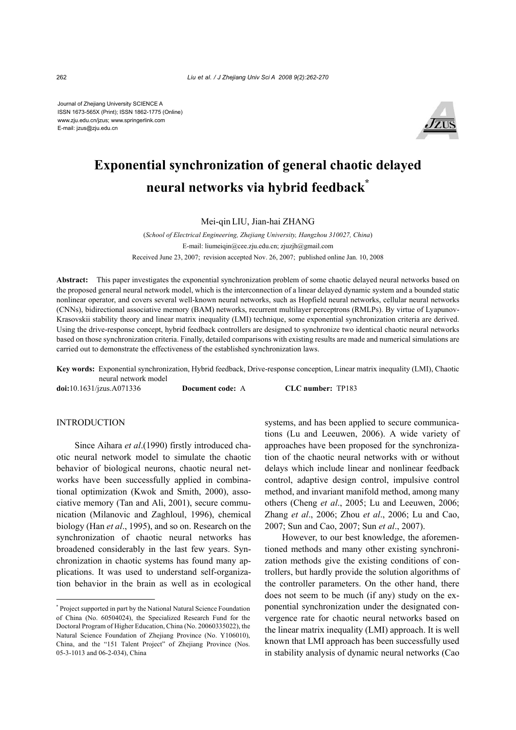Journal of Zhejiang University SCIENCE A ISSN 1673-565X (Print); ISSN 1862-1775 (Online) www.zju.edu.cn/jzus; www.springerlink.com E-mail: jzus@zju.edu.cn



# **Exponential synchronization of general chaotic delayed neural networks via hybrid feedback\***

Mei-qin LIU, Jian-hai ZHANG

(*School of Electrical Engineering, Zhejiang University, Hangzhou 310027, China*) E-mail: liumeiqin@cee.zju.edu.cn; zjuzjh@gmail.com Received June 23, 2007; revision accepted Nov. 26, 2007; published online Jan. 10, 2008

**Abstract:** This paper investigates the exponential synchronization problem of some chaotic delayed neural networks based on the proposed general neural network model, which is the interconnection of a linear delayed dynamic system and a bounded static nonlinear operator, and covers several well-known neural networks, such as Hopfield neural networks, cellular neural networks (CNNs), bidirectional associative memory (BAM) networks, recurrent multilayer perceptrons (RMLPs). By virtue of Lyapunov-Krasovskii stability theory and linear matrix inequality (LMI) technique, some exponential synchronization criteria are derived. Using the drive-response concept, hybrid feedback controllers are designed to synchronize two identical chaotic neural networks based on those synchronization criteria. Finally, detailed comparisons with existing results are made and numerical simulations are carried out to demonstrate the effectiveness of the established synchronization laws.

**Key words:** Exponential synchronization, Hybrid feedback, Drive-response conception, Linear matrix inequality (LMI), Chaotic neural network model

**doi:**10.1631/jzus.A071336 **Document code:** A **CLC number:** TP183

## **INTRODUCTION**

Since Aihara *et al*.(1990) firstly introduced chaotic neural network model to simulate the chaotic behavior of biological neurons, chaotic neural networks have been successfully applied in combinational optimization (Kwok and Smith, 2000), associative memory (Tan and Ali, 2001), secure communication (Milanovic and Zaghloul, 1996), chemical biology (Han *et al*., 1995), and so on. Research on the synchronization of chaotic neural networks has broadened considerably in the last few years. Synchronization in chaotic systems has found many applications. It was used to understand self-organization behavior in the brain as well as in ecological systems, and has been applied to secure communications (Lu and Leeuwen, 2006). A wide variety of approaches have been proposed for the synchronization of the chaotic neural networks with or without delays which include linear and nonlinear feedback control, adaptive design control, impulsive control method, and invariant manifold method, among many others (Cheng *et al*., 2005; Lu and Leeuwen, 2006; Zhang *et al*., 2006; Zhou *et al*., 2006; Lu and Cao, 2007; Sun and Cao, 2007; Sun *et al*., 2007).

However, to our best knowledge, the aforementioned methods and many other existing synchronization methods give the existing conditions of controllers, but hardly provide the solution algorithms of the controller parameters. On the other hand, there does not seem to be much (if any) study on the exponential synchronization under the designated convergence rate for chaotic neural networks based on the linear matrix inequality (LMI) approach. It is well known that LMI approach has been successfully used in stability analysis of dynamic neural networks (Cao

<sup>\*</sup> Project supported in part by the National Natural Science Foundation of China (No. 60504024), the Specialized Research Fund for the Doctoral Program of Higher Education, China (No. 20060335022), the Natural Science Foundation of Zhejiang Province (No. Y106010), China, and the "151 Talent Project" of Zhejiang Province (Nos. 05-3-1013 and 06-2-034), China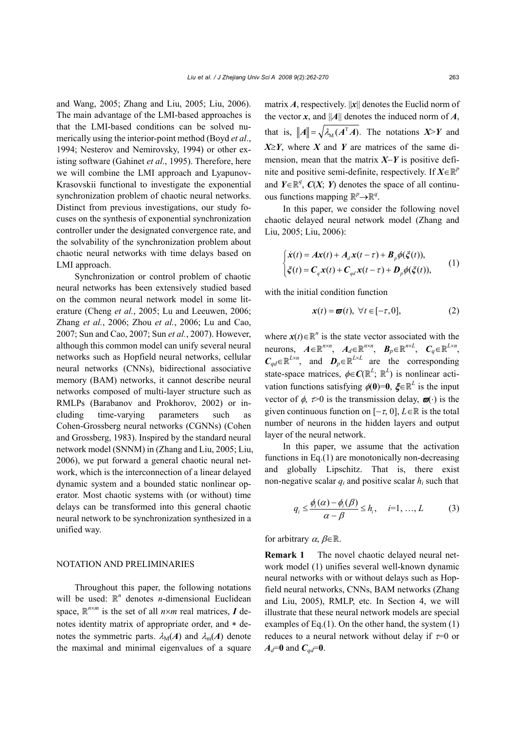and Wang, 2005; Zhang and Liu, 2005; Liu, 2006). The main advantage of the LMI-based approaches is that the LMI-based conditions can be solved numerically using the interior-point method (Boyd *et al*., 1994; Nesterov and Nemirovsky, 1994) or other existing software (Gahinet *et al*., 1995). Therefore, here we will combine the LMI approach and Lyapunov-Krasovskii functional to investigate the exponential synchronization problem of chaotic neural networks. Distinct from previous investigations, our study focuses on the synthesis of exponential synchronization controller under the designated convergence rate, and the solvability of the synchronization problem about chaotic neural networks with time delays based on LMI approach.

Synchronization or control problem of chaotic neural networks has been extensively studied based on the common neural network model in some literature (Cheng *et al.*, 2005; Lu and Leeuwen, 2006; Zhang *et al.*, 2006; Zhou *et al.*, 2006; Lu and Cao, 2007; Sun and Cao, 2007; Sun *et al.*, 2007). However, although this common model can unify several neural networks such as Hopfield neural networks, cellular neural networks (CNNs), bidirectional associative memory (BAM) networks, it cannot describe neural networks composed of multi-layer structure such as RMLPs (Barabanov and Prokhorov, 2002) or including time-varying parameters such as Cohen-Grossberg neural networks (CGNNs) (Cohen and Grossberg, 1983). Inspired by the standard neural network model (SNNM) in (Zhang and Liu, 2005; Liu, 2006), we put forward a general chaotic neural network, which is the interconnection of a linear delayed dynamic system and a bounded static nonlinear operator. Most chaotic systems with (or without) time delays can be transformed into this general chaotic neural network to be synchronization synthesized in a unified way.

#### NOTATION AND PRELIMINARIES

Throughout this paper, the following notations will be used:  $\mathbb{R}^n$  denotes *n*-dimensional Euclidean space,  $\mathbb{R}^{n \times m}$  is the set of all  $n \times m$  real matrices, *I* denotes identity matrix of appropriate order, and ∗ denotes the symmetric parts.  $\lambda_M(A)$  and  $\lambda_m(A)$  denote the maximal and minimal eigenvalues of a square

matrix  $\vec{A}$ , respectively.  $||\vec{x}||$  denotes the Euclid norm of the vector  $x$ , and ||A|| denotes the induced norm of  $A$ , that is,  $||A|| = \sqrt{\lambda_M (A^T A)}$ . The notations  $X > Y$  and  $X \geq Y$ , where *X* and *Y* are matrices of the same dimension, mean that the matrix *X*−*Y* is positive definite and positive semi-definite, respectively. If  $X \in \mathbb{R}^p$ and  $Y \in \mathbb{R}^q$ ,  $C(X; Y)$  denotes the space of all continuous functions mapping  $\mathbb{R}^p \rightarrow \mathbb{R}^q$ .

In this paper, we consider the following novel chaotic delayed neural network model (Zhang and Liu, 2005; Liu, 2006):

$$
\begin{cases}\n\dot{\mathbf{x}}(t) = A\mathbf{x}(t) + A_d \mathbf{x}(t - \tau) + B_p \phi(\xi(t)), \\
\dot{\xi}(t) = C_q \mathbf{x}(t) + C_{qd} \mathbf{x}(t - \tau) + D_p \phi(\xi(t)),\n\end{cases}
$$
\n(1)

with the initial condition function

$$
\mathbf{x}(t) = \boldsymbol{\varpi}(t), \ \forall t \in [-\tau, 0], \tag{2}
$$

where  $x(t) \in \mathbb{R}^n$  is the state vector associated with the neurons,  $A \in \mathbb{R}^{n \times n}$ ,  $A_d \in \mathbb{R}^{n \times n}$ ,  $B_p \in \mathbb{R}^{n \times L}$ ,  $C_q \in \mathbb{R}^{L \times n}$ ,  $C_{qd} \in \mathbb{R}^{L \times n}$ , and  $D_p \in \mathbb{R}^{L \times L}$  are the corresponding state-space matrices,  $\phi \in \mathbb{C}(\mathbb{R}^L; \mathbb{R}^L)$  is nonlinear activation functions satisfying  $\phi(0)=0$ ,  $\xi \in \mathbb{R}^L$  is the input vector of  $\phi$ ,  $\tau > 0$  is the transmission delay,  $\varpi(\cdot)$  is the given continuous function on  $[-\tau, 0]$ ,  $L \in \mathbb{R}$  is the total number of neurons in the hidden layers and output layer of the neural network.

In this paper, we assume that the activation functions in Eq.(1) are monotonically non-decreasing and globally Lipschitz. That is, there exist non-negative scalar  $q_i$  and positive scalar  $h_i$  such that

$$
q_i \leq \frac{\phi_i(\alpha) - \phi_i(\beta)}{\alpha - \beta} \leq h_i, \quad i = 1, ..., L \tag{3}
$$

for arbitrary  $\alpha$ ,  $\beta \in \mathbb{R}$ .

**Remark 1** The novel chaotic delayed neural network model (1) unifies several well-known dynamic neural networks with or without delays such as Hopfield neural networks, CNNs, BAM networks (Zhang and Liu, 2005), RMLP, etc. In Section 4, we will illustrate that these neural network models are special examples of Eq.(1). On the other hand, the system (1) reduces to a neural network without delay if  $\tau=0$  or  $A_d = 0$  and  $C_{ad} = 0$ .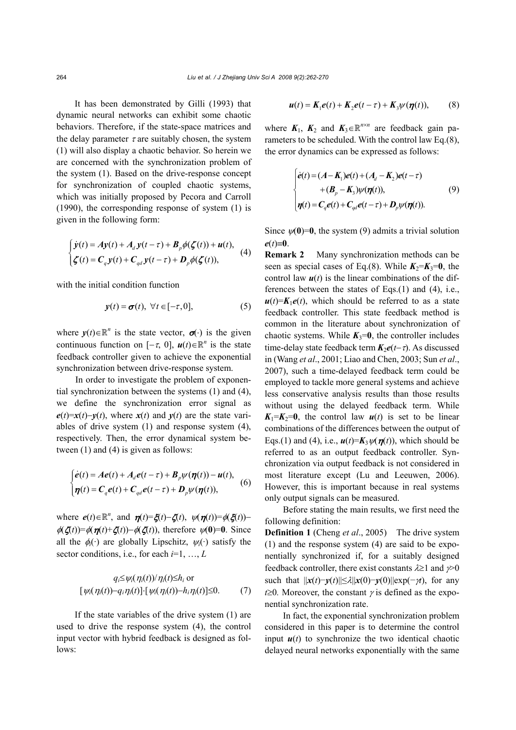It has been demonstrated by Gilli (1993) that dynamic neural networks can exhibit some chaotic behaviors. Therefore, if the state-space matrices and the delay parameter  $\tau$  are suitably chosen, the system (1) will also display a chaotic behavior. So herein we are concerned with the synchronization problem of the system (1). Based on the drive-response concept for synchronization of coupled chaotic systems, which was initially proposed by Pecora and Carroll (1990), the corresponding response of system (1) is given in the following form:

$$
\begin{cases}\n\dot{y}(t) = A y(t) + A_d y(t - \tau) + B_p \phi(\zeta(t)) + u(t), \\
\zeta(t) = C_q y(t) + C_{qd} y(t - \tau) + D_p \phi(\zeta(t)),\n\end{cases}
$$
\n(4)

with the initial condition function

$$
\mathbf{y}(t) = \boldsymbol{\sigma}(t), \ \forall t \in [-\tau, 0], \tag{5}
$$

where  $y(t) \in \mathbb{R}^n$  is the state vector,  $\sigma(\cdot)$  is the given continuous function on  $[-\tau, 0]$ ,  $u(t) \in \mathbb{R}^n$  is the state feedback controller given to achieve the exponential synchronization between drive-response system.

In order to investigate the problem of exponential synchronization between the systems (1) and (4), we define the synchronization error signal as  $e(t) = x(t) - y(t)$ , where  $x(t)$  and  $y(t)$  are the state variables of drive system (1) and response system (4), respectively. Then, the error dynamical system between (1) and (4) is given as follows:

$$
\begin{cases}\n\dot{\boldsymbol{e}}(t) = A\boldsymbol{e}(t) + A_d \boldsymbol{e}(t-\tau) + B_p \psi(\boldsymbol{\eta}(t)) - \boldsymbol{u}(t), \\
\boldsymbol{\eta}(t) = C_q \boldsymbol{e}(t) + C_{qd} \boldsymbol{e}(t-\tau) + D_p \psi(\boldsymbol{\eta}(t)),\n\end{cases}
$$
\n(6)

where  $e(t) \in \mathbb{R}^n$ , and  $\eta(t) = \xi(t) - \zeta(t)$ ,  $\psi(\eta(t)) = \phi(\xi(t)) - \zeta(t)$  $\phi(\zeta(t)) = \phi(\eta(t) + \zeta(t)) - \phi(\zeta(t))$ , therefore  $\psi(0) = 0$ . Since all the  $\phi_i(\cdot)$  are globally Lipschitz,  $\psi_i(\cdot)$  satisfy the sector conditions, i.e., for each *i*=1, …, *L*

$$
q_i \leq \psi_i(\eta_i(t))/\eta_i(t) \leq h_i \text{ or}
$$
  
[ $\psi_i(\eta_i(t)) - q_i \eta_i(t)$ ]\cdot [ $\psi_i(\eta_i(t)) - h_i \eta_i(t)$ ] \leq 0. (7)

If the state variables of the drive system (1) are used to drive the response system (4), the control input vector with hybrid feedback is designed as follows:

$$
\boldsymbol{u}(t) = \boldsymbol{K}_1 \boldsymbol{e}(t) + \boldsymbol{K}_2 \boldsymbol{e}(t-\tau) + \boldsymbol{K}_3 \boldsymbol{\psi}(\boldsymbol{\eta}(t)), \qquad (8)
$$

where  $K_1$ ,  $K_2$  and  $K_3 \in \mathbb{R}^{n \times n}$  are feedback gain parameters to be scheduled. With the control law Eq.(8), the error dynamics can be expressed as follows:

$$
\begin{cases}\n\dot{e}(t) = (A - K_1)e(t) + (A_d - K_2)e(t - \tau) \\
+ (B_p - K_3)\psi(\eta(t)), \\
\eta(t) = C_q e(t) + C_{qd}e(t - \tau) + D_p \psi(\eta(t)).\n\end{cases} \tag{9}
$$

Since  $\psi(0)=0$ , the system (9) admits a trivial solution *e*(*t*)≡**0**.

**Remark 2** Many synchronization methods can be seen as special cases of Eq.(8). While  $K_2 = K_3 = 0$ , the control law  $u(t)$  is the linear combinations of the differences between the states of Eqs.(1) and (4), i.e.,  $u(t)=K_1e(t)$ , which should be referred to as a state feedback controller. This state feedback method is common in the literature about synchronization of chaotic systems. While  $K_3=0$ , the controller includes time-delay state feedback term  $K_2e(t-\tau)$ . As discussed in (Wang *et al*., 2001; Liao and Chen, 2003; Sun *et al*., 2007), such a time-delayed feedback term could be employed to tackle more general systems and achieve less conservative analysis results than those results without using the delayed feedback term. While  $K_1 = K_2 = 0$ , the control law  $u(t)$  is set to be linear combinations of the differences between the output of Eqs.(1) and (4), i.e.,  $u(t)=K_3\psi(\eta(t))$ , which should be referred to as an output feedback controller. Synchronization via output feedback is not considered in most literature except (Lu and Leeuwen, 2006). However, this is important because in real systems only output signals can be measured.

Before stating the main results, we first need the following definition:

**Definition 1** (Cheng *et al*., 2005) The drive system (1) and the response system (4) are said to be exponentially synchronized if, for a suitably designed feedback controller, there exist constants  $\lambda \geq 1$  and  $\gamma \geq 0$ such that  $||x(t)-y(t)|| \leq \lambda ||x(0)-y(0)|| \exp(-\gamma t)$ , for any *t*≥0*.* Moreover, the constant  $\gamma$  is defined as the exponential synchronization rate.

In fact, the exponential synchronization problem considered in this paper is to determine the control input  $u(t)$  to synchronize the two identical chaotic delayed neural networks exponentially with the same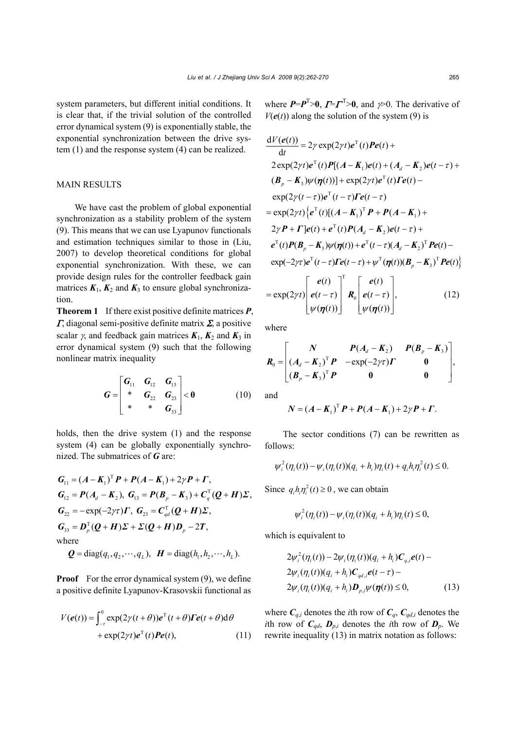system parameters, but different initial conditions. It is clear that, if the trivial solution of the controlled error dynamical system (9) is exponentially stable, the exponential synchronization between the drive system (1) and the response system (4) can be realized.

## MAIN RESULTS

We have cast the problem of global exponential synchronization as a stability problem of the system (9). This means that we can use Lyapunov functionals and estimation techniques similar to those in (Liu, 2007) to develop theoretical conditions for global exponential synchronization. With these, we can provide design rules for the controller feedback gain matrices  $K_1$ ,  $K_2$  and  $K_3$  to ensure global synchronization.

**Theorem 1** If there exist positive definite matrices *P*, <sup>Γ</sup>, diagonal semi-positive definite matrix Σ, a positive scalar  $\gamma$ , and feedback gain matrices  $K_1$ ,  $K_2$  and  $K_3$  in error dynamical system (9) such that the following nonlinear matrix inequality

$$
G = \begin{bmatrix} G_{11} & G_{12} & G_{13} \\ * & G_{22} & G_{23} \\ * & * & G_{33} \end{bmatrix} < 0
$$
 (10)

holds, then the drive system (1) and the response system (4) can be globally exponentially synchronized. The submatrices of *G* are:

$$
G_{11} = (A - K_1)^T P + P(A - K_1) + 2\gamma P + \Gamma,
$$
  
\n
$$
G_{12} = P(A_d - K_2), G_{13} = P(B_p - K_3) + C_q^T (Q + H) \Sigma,
$$
  
\n
$$
G_{22} = -\exp(-2\gamma \tau) \Gamma, G_{23} = C_{qd}^T (Q + H) \Sigma,
$$
  
\n
$$
G_{33} = D_p^T (Q + H) \Sigma + \Sigma (Q + H) D_p - 2T,
$$
  
\nwhere  
\n
$$
Q = \text{diag}(q_1, q_2, \dots, q_L), H = \text{diag}(h_1, h_2, \dots, h_L).
$$

**Proof** For the error dynamical system (9), we define a positive definite Lyapunov-Krasovskii functional as

$$
V(e(t)) = \int_{-r}^{0} \exp(2\gamma(t+\theta))e^{T}(t+\theta)\mathbf{\Gamma}e(t+\theta)d\theta
$$
  
+  $\exp(2\gamma t)e^{T}(t)\mathbf{\P}e(t),$  (11)

where  $P = P^T > 0$ ,  $T = \Gamma^T > 0$ , and  $\gamma > 0$ . The derivative of  $V(e(t))$  along the solution of the system (9) is

$$
\frac{dV(e(t))}{dt} = 2\gamma \exp(2\gamma t)e^{T}(t)Pe(t) +
$$
  
\n
$$
2 \exp(2\gamma t)e^{T}(t)P[(A - K_{1})e(t) + (A_{d} - K_{2})e(t - \tau) +
$$
  
\n
$$
(B_{p} - K_{3})\psi(\eta(t))] + \exp(2\gamma t)e^{T}(t)Pe(t) -
$$
  
\n
$$
\exp(2\gamma(t - \tau))e^{T}(t - \tau)Pe(t - \tau)
$$
  
\n
$$
= \exp(2\gamma t)\{e^{T}(t)[(A - K_{1})^{T}P + P(A - K_{1}) +
$$
  
\n
$$
2\gamma P + \Gamma]e(t) + e^{T}(t)P(A_{d} - K_{2})e(t - \tau) +
$$
  
\n
$$
e^{T}(t)P(B_{p} - K_{3})\psi(\eta(t)) + e^{T}(t - \tau)(A_{d} - K_{2})^{T}Pe(t) -
$$
  
\n
$$
\exp(-2\gamma \tau)e^{T}(t - \tau)Pe(t - \tau) + \psi^{T}(\eta(t))(B_{p} - K_{3})^{T}Pe(t)\}
$$
  
\n
$$
\begin{bmatrix} e(t) \end{bmatrix}^{T} \begin{bmatrix} e(t) \end{bmatrix}
$$

$$
= \exp(2\gamma t) \begin{bmatrix} e(t) \\ e(t-\tau) \\ \psi(\eta(t)) \end{bmatrix} \begin{bmatrix} e(t) \\ e(t-\tau) \\ \psi(\eta(t)) \end{bmatrix}, \qquad (12)
$$

where

$$
\boldsymbol{R}_0 = \begin{bmatrix} \boldsymbol{N} & \boldsymbol{P}(A_d - \boldsymbol{K}_2) & \boldsymbol{P}(\boldsymbol{B}_p - \boldsymbol{K}_3) \\ (\boldsymbol{A}_d - \boldsymbol{K}_2)^T \boldsymbol{P} & -\exp(-2\gamma\tau)\boldsymbol{\Gamma} & \boldsymbol{0} \\ (\boldsymbol{B}_p - \boldsymbol{K}_3)^T \boldsymbol{P} & \boldsymbol{0} & \boldsymbol{0} \end{bmatrix},
$$

and

$$
N = (A - K_1)^T P + P(A - K_1) + 2\gamma P + \Gamma.
$$

The sector conditions (7) can be rewritten as follows:

$$
\psi_i^2(\eta_i(t)) - \psi_i(\eta_i(t))(q_i + h_i)\eta_i(t) + q_i h_i \eta_i^2(t) \le 0.
$$

Since  $q_i h_i \eta_i^2(t) \ge 0$ , we can obtain

$$
\psi_i^2(\eta_i(t)) - \psi_i(\eta_i(t))(q_i + h_i)\eta_i(t) \leq 0,
$$

which is equivalent to

$$
2\psi_i^2(\eta_i(t)) - 2\psi_i(\eta_i(t))(q_i + h_i)\mathbf{C}_{q,i}e(t) - 2\psi_i(\eta_i(t))(q_i + h_i)\mathbf{C}_{qd,i}e(t - \tau) - 2\psi_i(\eta_i(t))(q_i + h_i)\mathbf{D}_{p,i}\psi(\eta(t)) \le 0,
$$
\n(13)

where  $C_{q,i}$  denotes the *i*th row of  $C_q$ ,  $C_{qd,i}$  denotes the *i*th row of  $C_{ad}$ ,  $D_{p,i}$  denotes the *i*th row of  $D_p$ . We rewrite inequality (13) in matrix notation as follows: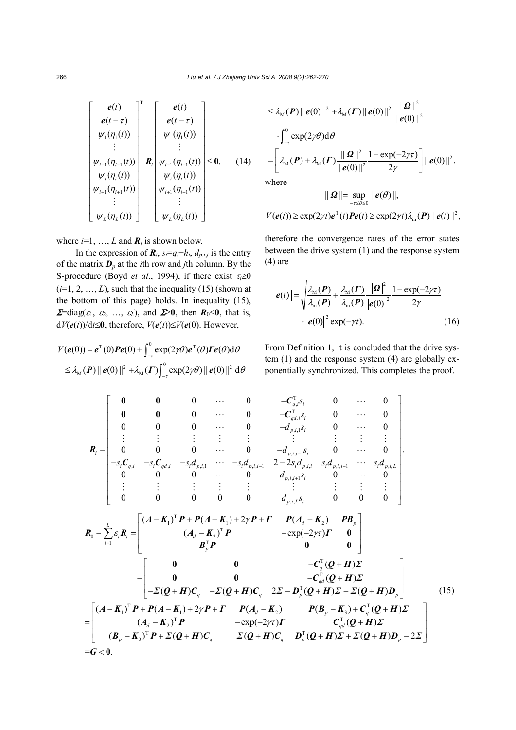$$
\begin{bmatrix}\ne(t) \\
e(t-\tau) \\
\psi_1(\eta_1(t)) \\
\vdots \\
\psi_{i-1}(\eta_{i-1}(t)) \\
\psi_i(\eta_i(t)) \\
\psi_{i+1}(\eta_{i+1}(t)) \\
\vdots \\
\psi_{i+1}(\eta_{i+1}(t)) \\
\vdots \\
\psi_L(\eta_L(t))\n\end{bmatrix}\n\begin{bmatrix}\ne(t) \\
e(t-\tau) \\
e(t-\tau) \\
\psi_1(\eta_1(t)) \\
\vdots \\
\psi_{i+1}(\eta_{i-1}(t)) \\
\vdots \\
\psi_L(\eta_L(t))\n\end{bmatrix} \le 0, \quad (14)
$$

where  $i=1, ..., L$  and  $\mathbf{R}_i$  is shown below.

In the expression of  $\mathbf{R}_i$ ,  $s_i = q_i + h_i$ ,  $d_{p,i,j}$  is the entry of the matrix  $\mathbf{D}_p$  at the *i*th row and *j*th column. By the S-procedure (Boyd *et al.*, 1994), if there exist  $\tau_i \ge 0$  $(i=1, 2, ..., L)$ , such that the inequality (15) (shown at the bottom of this page) holds. In inequality (15),  $\Sigma$ =diag( $\varepsilon_1$ ,  $\varepsilon_2$ , ...,  $\varepsilon_L$ ), and  $\Sigma$ ≥0, then  $R_0$ <0, that is, d*V*(*e*(*t*))/d*t*≤**0**, therefore, *V*(*e*(*t*))≤*V*(*e*(0). However,

$$
V(e(0)) = e^{T}(0)Pe(0) + \int_{-r}^{0} \exp(2\gamma\theta) e^{T}(\theta) \Gamma e(\theta) d\theta
$$
  
 
$$
\leq \lambda_{\mathcal{M}}(P) ||e(0)||^{2} + \lambda_{\mathcal{M}}(P) \int_{-r}^{0} \exp(2\gamma\theta) ||e(0)||^{2} d\theta
$$

$$
\leq \lambda_{\mathbf{M}}(\boldsymbol{P}) \|\boldsymbol{e}(0)\|^2 + \lambda_{\mathbf{M}}(\boldsymbol{\varGamma}) \|\boldsymbol{e}(0)\|^2 \frac{\|\boldsymbol{\varOmega}\|^2}{\|\boldsymbol{e}(0)\|^2}
$$

$$
\cdot \int_{-\tau}^0 \exp(2\gamma \theta) \mathrm{d}\theta
$$

$$
= \left[ \lambda_{\mathbf{M}}(\boldsymbol{P}) + \lambda_{\mathbf{M}}(\boldsymbol{\varGamma}) \frac{\|\boldsymbol{\varOmega}\|^2}{\|\boldsymbol{e}(0)\|^2} \frac{1 - \exp(-2\gamma \tau)}{2\gamma} \right] \|\boldsymbol{e}(0)\|^2,
$$
where

$$
\|\mathbf{\Omega}\| = \sup_{-r\leq\theta\leq 0} \|\mathbf{e}(\theta)\|,
$$
  

$$
V(\mathbf{e}(t)) \geq \exp(2\gamma t)\mathbf{e}^{\mathrm{T}}(t)\mathbf{P}\mathbf{e}(t) \geq \exp(2\gamma t)\lambda_{\mathrm{m}}(\mathbf{P})\|\mathbf{e}(t)\|^2,
$$

therefore the convergence rates of the error states between the drive system (1) and the response system  $(4)$  are

$$
\|\boldsymbol{e}(t)\| = \sqrt{\frac{\lambda_{\rm M}(\boldsymbol{P})}{\lambda_{\rm m}(\boldsymbol{P})} + \frac{\lambda_{\rm M}(\boldsymbol{\Gamma})}{\lambda_{\rm m}(\boldsymbol{P})} \frac{\|\boldsymbol{\Omega}\|^2}{\|\boldsymbol{e}(0)\|^2}} \frac{1 - \exp(-2\gamma\tau)}{2\gamma}
$$
  
 
$$
\cdot \|\boldsymbol{e}(0)\|^2 \exp(-\gamma t). \tag{16}
$$

From Definition 1, it is concluded that the drive system (1) and the response system (4) are globally exponentially synchronized. This completes the proof.

$$
R_{i} = \begin{bmatrix}\n0 & 0 & 0 & \cdots & 0 & -C_{q,i,S_{i}}^{T} & 0 & \cdots & 0 \\
0 & 0 & 0 & \cdots & 0 & -C_{q,i,S_{i}}^{T} & 0 & \cdots & 0 \\
0 & 0 & 0 & \cdots & 0 & -d_{p,i,S_{i}}^{T} & 0 & \cdots & 0 \\
\vdots & \vdots & \vdots & \vdots & \vdots & \vdots & \vdots & \vdots & \vdots \\
0 & 0 & 0 & \cdots & 0 & -d_{p,i,i-1}^{T} & 0 & \cdots & 0 \\
-s_{i}C_{q,i} & -s_{i}C_{q,d,i} & -s_{i}d_{p,i,1} & \cdots & -s_{i}d_{p,i,i-1} & 2-2s_{i}d_{p,i,i} & s_{i}d_{p,i,i+1} & \cdots & s_{i}d_{p,i,L} \\
0 & 0 & 0 & \cdots & 0 & d_{p,i,i,S_{i}} & 0 & \cdots & 0 \\
\vdots & \vdots & \vdots & \vdots & \vdots & \vdots & \vdots & \vdots & \vdots \\
0 & 0 & 0 & 0 & 0 & d_{p,i,k}S_{i} & 0 & 0 & 0\n\end{bmatrix}
$$
\n
$$
R_{0} - \sum_{i=1}^{L} \varepsilon_{i}R_{i} = \begin{bmatrix}\n(A-K_{1})^{T}P + P(A-K_{1}) + 2\gamma P + \Gamma & P(A_{d}-K_{2}) & PB_{p} \\
(A_{d}-K_{2})^{T}P & -\exp(-2\gamma\tau)\Gamma & 0 \\
B_{p}^{T}P & 0 & 0 & -C_{q}^{T}(Q+H)\Sigma \\
-B_{q}^{T}(Q+H)C_{q} & -\Sigma(Q+H)C_{q} & 2\Sigma-D_{p}^{T}(Q+H)\Sigma-D_{q}(Q+H)D_{p}\n\end{bmatrix}
$$
\n
$$
= \begin{bmatrix}\n(A-K_{1})^{T}P + P(A-K_{1}) + 2\gamma P + \Gamma & P(A_{d}-K_{2}) & P(B_{p}-K_{3}) + C_{q}^{T}(Q+H)\Sigma \\
(A_{d}-K_{2})^{T}P & -\exp(-2\gamma\tau)\Gamma & C_{qd}^{T}(Q+H)\Sigma \\
(A_{d}-K_{3})^{T}P + \Sigma(Q+H)C_{q} & \Sigma(Q+H)C_{q
$$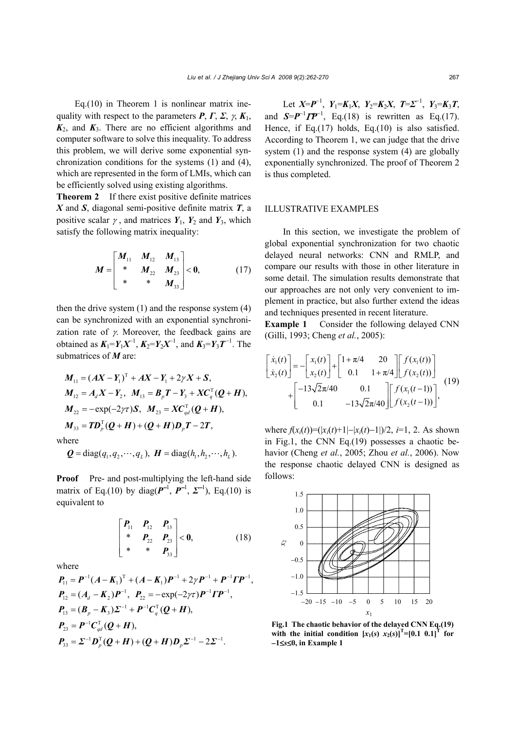Eq.(10) in Theorem 1 is nonlinear matrix inequality with respect to the parameters  $P, \Gamma, \Sigma, \gamma, K_1$ ,  $K_2$ , and  $K_3$ . There are no efficient algorithms and computer software to solve this inequality. To address this problem, we will derive some exponential synchronization conditions for the systems (1) and (4), which are represented in the form of LMIs, which can be efficiently solved using existing algorithms.

**Theorem 2** If there exist positive definite matrices *X* and *S*, diagonal semi-positive definite matrix *T*, a positive scalar  $\gamma$ , and matrices  $Y_1$ ,  $Y_2$  and  $Y_3$ , which satisfy the following matrix inequality:

$$
M = \begin{bmatrix} M_{11} & M_{12} & M_{13} \\ * & M_{22} & M_{23} \\ * & * & M_{33} \end{bmatrix} < 0,
$$
 (17)

then the drive system  $(1)$  and the response system  $(4)$ can be synchronized with an exponential synchronization rate of  $\gamma$ . Moreover, the feedback gains are obtained as  $K_1 = Y_1 X^{-1}$ ,  $K_2 = Y_2 X^{-1}$ , and  $K_3 = Y_3 T^{-1}$ . The submatrices of *M* are:

$$
M_{11} = (AX - Y_1)^T + AX - Y_1 + 2\gamma X + S,
$$
  
\n
$$
M_{12} = A_d X - Y_2, \quad M_{13} = B_p T - Y_3 + X C_q^T (Q + H),
$$
  
\n
$$
M_{22} = -\exp(-2\gamma \tau) S, \quad M_{23} = X C_{qd}^T (Q + H),
$$
  
\n
$$
M_{33} = T D_p^T (Q + H) + (Q + H) D_p T - 2T,
$$
  
\nhere

 $\mathbf{Q} = \text{diag}(q_1, q_2, \dots, q_L), \ \mathbf{H} = \text{diag}(h_1, h_2, \dots, h_L).$ 

**Proof** Pre- and post-multiplying the left-hand side matrix of Eq.(10) by diag( $\mathbf{P}^{-1}$ ,  $\mathbf{P}^{-1}$ ,  $\mathbf{\Sigma}^{-1}$ ), Eq.(10) is equivalent to

$$
\begin{bmatrix} P_{11} & P_{12} & P_{13} \ * & P_{22} & P_{23} \ * & * & P_{33} \end{bmatrix} < 0,
$$
 (18)

where

 $\tilde{w}$ 

 $P_{11} = P^{-1}(A - K_1)^T + (A - K_1)P^{-1} + 2\gamma P^{-1} + P^{-1}\Gamma P^{-1},$  $P_{12} = (A_d - K_2)P^{-1}$ ,  $P_{22} = -\exp(-2\gamma\tau)P^{-1}\Gamma P^{-1}$ ,  $P_{13} = (B_p - K_3) \Sigma^{-1} + P^{-1} C_q^{\mathrm{T}} (Q + H),$  $P_{23} = P^{-1} C_{qd}^{T} (Q + H),$  $P_{33} = \Sigma^{-1} D_p^{\mathrm{T}} (Q + H) + (Q + H) D_p \Sigma^{-1} - 2 \Sigma^{-1}.$ 

Let *X*= $P^{-1}$ , *Y*<sub>1</sub>=*K*<sub>1</sub>*X*, *Y*<sub>2</sub>=*K*<sub>2</sub>*X*, *T*= $\mathcal{L}^{-1}$ , *Y*<sub>3</sub>=*K*<sub>3</sub>*T*, and  $S = P^{-1} \Gamma P^{-1}$ , Eq.(18) is rewritten as Eq.(17). Hence, if Eq.(17) holds, Eq.(10) is also satisfied. According to Theorem 1, we can judge that the drive system (1) and the response system (4) are globally exponentially synchronized. The proof of Theorem 2 is thus completed.

#### ILLUSTRATIVE EXAMPLES

In this section, we investigate the problem of global exponential synchronization for two chaotic delayed neural networks: CNN and RMLP, and compare our results with those in other literature in some detail. The simulation results demonstrate that our approaches are not only very convenient to implement in practice, but also further extend the ideas and techniques presented in recent literature.

**Example 1** Consider the following delayed CNN (Gilli, 1993; Cheng *et al.*, 2005):

$$
\begin{bmatrix} \dot{x}_1(t) \\ \dot{x}_2(t) \end{bmatrix} = -\begin{bmatrix} x_1(t) \\ x_2(t) \end{bmatrix} + \begin{bmatrix} 1 + \pi/4 & 20 \\ 0.1 & 1 + \pi/4 \end{bmatrix} \begin{bmatrix} f(x_1(t)) \\ f(x_2(t)) \end{bmatrix} + \begin{bmatrix} -13\sqrt{2}\pi/40 & 0.1 \\ 0.1 & -13\sqrt{2}\pi/40 \end{bmatrix} \begin{bmatrix} f(x_1(t-1)) \\ f(x_2(t-1)) \end{bmatrix},
$$
(19)

where  $f(x_i(t))=(|x_i(t)+1|-|x_i(t)-1|)/2$ , *i*=1, 2. As shown in Fig.1, the CNN Eq.(19) possesses a chaotic behavior (Cheng *et al.*, 2005; Zhou *et al.*, 2006). Now the response chaotic delayed CNN is designed as follows:



**Fig.1 The chaotic behavior of the delayed CNN Eq.(19)**  with the initial condition  $[x_1(s) x_2(s)]^T = [0.1 \ 0.1]^T$  for −**1**≤*s*≤**0, in Example 1**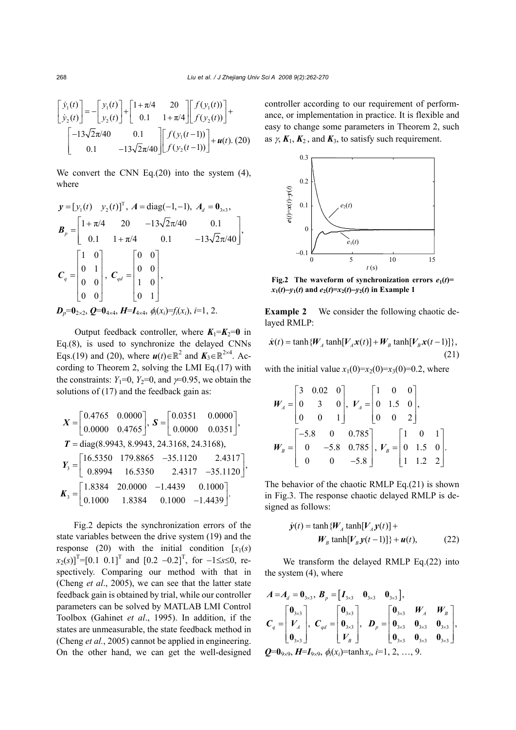$$
\begin{bmatrix} \dot{y}_1(t) \\ \dot{y}_2(t) \end{bmatrix} = -\begin{bmatrix} y_1(t) \\ y_2(t) \end{bmatrix} + \begin{bmatrix} 1 + \pi/4 & 20 \\ 0.1 & 1 + \pi/4 \end{bmatrix} \begin{bmatrix} f(y_1(t)) \\ f(y_2(t)) \end{bmatrix} + \\ \begin{bmatrix} -13\sqrt{2}\pi/40 & 0.1 \\ 0.1 & -13\sqrt{2}\pi/40 \end{bmatrix} \begin{bmatrix} f(y_1(t-1)) \\ f(y_2(t-1)) \end{bmatrix} + \boldsymbol{u}(t). (20)
$$

We convert the CNN Eq.(20) into the system (4), where

$$
\mathbf{y} = [y_1(t) \quad y_2(t)]^{\mathrm{T}}, \quad A = \text{diag}(-1, -1), \quad A_d = \mathbf{0}_{3 \times 3},
$$
\n
$$
\mathbf{B}_p = \begin{bmatrix} 1 + \pi/4 & 20 & -13\sqrt{2}\pi/40 & 0.1 \\ 0.1 & 1 + \pi/4 & 0.1 & -13\sqrt{2}\pi/40 \end{bmatrix},
$$
\n
$$
\mathbf{C}_q = \begin{bmatrix} 1 & 0 \\ 0 & 1 \\ 0 & 0 \\ 0 & 0 \end{bmatrix}, \quad \mathbf{C}_{qd} = \begin{bmatrix} 0 & 0 \\ 0 & 0 \\ 1 & 0 \\ 0 & 1 \end{bmatrix},
$$
\n
$$
\mathbf{D}_p = \mathbf{0}_{2 \times 2}, \quad \mathbf{Q} = \mathbf{0}_{4 \times 4}, \quad \mathbf{H} = \mathbf{I}_{4 \times 4}, \quad \phi_i(x_i) = f_i(x_i), \quad i = 1, 2.
$$

Output feedback controller, where  $K_1 = K_2 = 0$  in Eq.(8), is used to synchronize the delayed CNNs Eqs.(19) and (20), where  $u(t) \in \mathbb{R}^2$  and  $K_3 \in \mathbb{R}^{2 \times 4}$ . According to Theorem 2, solving the LMI Eq.(17) with the constraints:  $Y_1=0$ ,  $Y_2=0$ , and  $\nu=0.95$ , we obtain the solutions of (17) and the feedback gain as:

$$
X = \begin{bmatrix} 0.4765 & 0.0000 \\ 0.0000 & 0.4765 \end{bmatrix}, S = \begin{bmatrix} 0.0351 & 0.0000 \\ 0.0000 & 0.0351 \end{bmatrix},
$$
  
\n
$$
T = diag(8.9943, 8.9943, 24.3168, 24.3168),
$$
  
\n
$$
Y_3 = \begin{bmatrix} 16.5350 & 179.8865 & -35.1120 & 2.4317 \\ 0.8994 & 16.5350 & 2.4317 & -35.1120 \end{bmatrix},
$$
  
\n
$$
K_3 = \begin{bmatrix} 1.8384 & 20.0000 & -1.4439 & 0.1000 \\ 0.1000 & 1.8384 & 0.1000 & -1.4439 \end{bmatrix}.
$$

Fig.2 depicts the synchronization errors of the state variables between the drive system (19) and the response (20) with the initial condition  $[x_1(s)]$  $[x_2(s)]^T$ =[0.1 0.1]<sup>T</sup> and [0.2 –0.2]<sup>T</sup>, for –1≤*s*≤0, respectively. Comparing our method with that in (Cheng *et al*., 2005), we can see that the latter state feedback gain is obtained by trial, while our controller parameters can be solved by MATLAB LMI Control Toolbox (Gahinet *et al*., 1995). In addition, if the states are unmeasurable, the state feedback method in (Cheng *et al.*, 2005) cannot be applied in engineering. On the other hand, we can get the well-designed controller according to our requirement of performance, or implementation in practice. It is flexible and easy to change some parameters in Theorem 2, such as  $\gamma$ ,  $K_1$ ,  $K_2$ , and  $K_3$ , to satisfy such requirement.



**Fig.2** The waveform of synchronization errors  $e_1(t)$ =  $x_1(t) - y_1(t)$  and  $e_2(t) = x_2(t) - y_2(t)$  in Example 1

**Example 2** We consider the following chaotic delayed RMLP:

$$
\dot{\boldsymbol{x}}(t) = \tanh\{\boldsymbol{W}_A \tanh[\boldsymbol{V}_A \boldsymbol{x}(t)] + \boldsymbol{W}_B \tanh[\boldsymbol{V}_B \boldsymbol{x}(t-1)]\},\tag{21}
$$

with the initial value  $x_1(0)=x_2(0)=x_3(0)=0.2$ , where

$$
W_A = \begin{bmatrix} 3 & 0.02 & 0 \\ 0 & 3 & 0 \\ 0 & 0 & 1 \end{bmatrix}, V_A = \begin{bmatrix} 1 & 0 & 0 \\ 0 & 1.5 & 0 \\ 0 & 0 & 2 \end{bmatrix},
$$
  

$$
W_B = \begin{bmatrix} -5.8 & 0 & 0.785 \\ 0 & -5.8 & 0.785 \\ 0 & 0 & -5.8 \end{bmatrix}, V_B = \begin{bmatrix} 1 & 0 & 1 \\ 0 & 1.5 & 0 \\ 1 & 1.2 & 2 \end{bmatrix}.
$$

The behavior of the chaotic RMLP Eq.(21) is shown in Fig.3. The response chaotic delayed RMLP is designed as follows:

$$
\dot{y}(t) = \tanh \{W_A \tanh[V_A y(t)] + W_B \tanh[V_B y(t-1)]\} + u(t),
$$
\n(22)

We transform the delayed RMLP Eq.(22) into the system (4), where

$$
A = A_d = 0_{3\times 3}, B_p = [I_{3\times 3} \ 0_{3\times 3} \ 0_{3\times 3}],
$$
  
\n
$$
C_q = \begin{bmatrix} 0_{3\times 3} \\ V_A \\ 0_{3\times 3} \end{bmatrix}, C_{qd} = \begin{bmatrix} 0_{3\times 3} \\ 0_{3\times 3} \\ V_B \end{bmatrix}, D_p = \begin{bmatrix} 0_{3\times 3} & W_A & W_B \\ 0_{3\times 3} & 0_{3\times 3} & 0_{3\times 3} \\ 0_{3\times 3} & 0_{3\times 3} & 0_{3\times 3} \end{bmatrix},
$$
  
\n
$$
Q = 0_{9\times 9}, H = I_{9\times 9}, \phi_i(x_i) = \tanh x_i, i = 1, 2, ..., 9.
$$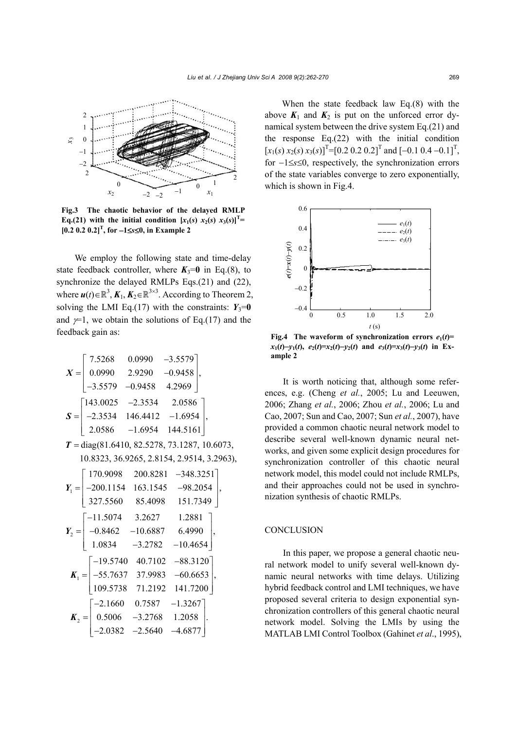

**Fig.3 The chaotic behavior of the delayed RMLP Eq.**(21) with the initial condition  $[x_1(s) x_2(s) x_3(s)]^T$ **[0.2 0.2 0.2]<sup>T</sup> , for** −**1**≤*s*≤**0, in Example 2** 

We employ the following state and time-delay state feedback controller, where  $K_3=0$  in Eq.(8), to synchronize the delayed RMLPs Eqs.(21) and (22), where  $u(t) \in \mathbb{R}^3$ ,  $K_1$ ,  $K_2 \in \mathbb{R}^{3 \times 3}$ . According to Theorem 2, solving the LMI Eq.(17) with the constraints:  $Y_3=0$ and  $\not=1$ , we obtain the solutions of Eq.(17) and the feedback gain as:

$$
X = \begin{bmatrix} 7.5268 & 0.0990 & -3.5579 \\ 0.0990 & 2.9290 & -0.9458 \\ -3.5579 & -0.9458 & 4.2969 \end{bmatrix},
$$

$$
S = \begin{bmatrix} 143.0025 & -2.3534 & 2.0586 \\ -2.3534 & 146.4412 & -1.6954 \\ 2.0586 & -1.6954 & 144.5161 \end{bmatrix},
$$

 $T = diag(81.6410, 82.5278, 73.1287, 10.6073,$ 10.8323, 36.9265, 2.8154, 2.9514, 3.2963),

$$
Y_{1} = \begin{bmatrix} 170.9098 & 200.8281 & -348.3251 \\ -200.1154 & 163.1545 & -98.2054 \\ 327.5560 & 85.4098 & 151.7349 \end{bmatrix},
$$
  
\n
$$
Y_{2} = \begin{bmatrix} -11.5074 & 3.2627 & 1.2881 \\ -0.8462 & -10.6887 & 6.4990 \\ 1.0834 & -3.2782 & -10.4654 \end{bmatrix},
$$
  
\n
$$
K_{1} = \begin{bmatrix} -19.5740 & 40.7102 & -88.3120 \\ -55.7637 & 37.9983 & -60.6653 \\ 109.5738 & 71.2192 & 141.7200 \end{bmatrix},
$$
  
\n
$$
K_{2} = \begin{bmatrix} -2.1660 & 0.7587 & -1.3267 \\ 0.5006 & -3.2768 & 1.2058 \\ -2.0382 & -2.5640 & -4.6877 \end{bmatrix}.
$$

When the state feedback law Eq.(8) with the above  $K_1$  and  $K_2$  is put on the unforced error dynamical system between the drive system Eq.(21) and the response Eq.(22) with the initial condition  $[x_1(s) x_2(s) x_3(s)]^T$ =[0.2 0.2 0.2]<sup>T</sup> and [-0.1 0.4 -0.1]<sup>T</sup>, for −1≤*s*≤0, respectively, the synchronization errors of the state variables converge to zero exponentially, which is shown in Fig.4.



**Fig.4** The waveform of synchronization errors  $e_1(t)$ =  $x_1(t)-y_1(t)$ ,  $e_2(t)=x_2(t)-y_2(t)$  and  $e_3(t)=x_3(t)-y_3(t)$  in Ex**ample 2** 

It is worth noticing that, although some references, e.g. (Cheng *et al.*, 2005; Lu and Leeuwen, 2006; Zhang *et al.*, 2006; Zhou *et al.*, 2006; Lu and Cao, 2007; Sun and Cao, 2007; Sun *et al.*, 2007), have provided a common chaotic neural network model to describe several well-known dynamic neural networks, and given some explicit design procedures for synchronization controller of this chaotic neural network model, this model could not include RMLPs, and their approaches could not be used in synchronization synthesis of chaotic RMLPs.

## **CONCLUSION**

In this paper, we propose a general chaotic neural network model to unify several well-known dynamic neural networks with time delays. Utilizing hybrid feedback control and LMI techniques, we have proposed several criteria to design exponential synchronization controllers of this general chaotic neural network model. Solving the LMIs by using the MATLAB LMI Control Toolbox (Gahinet *et al*., 1995),